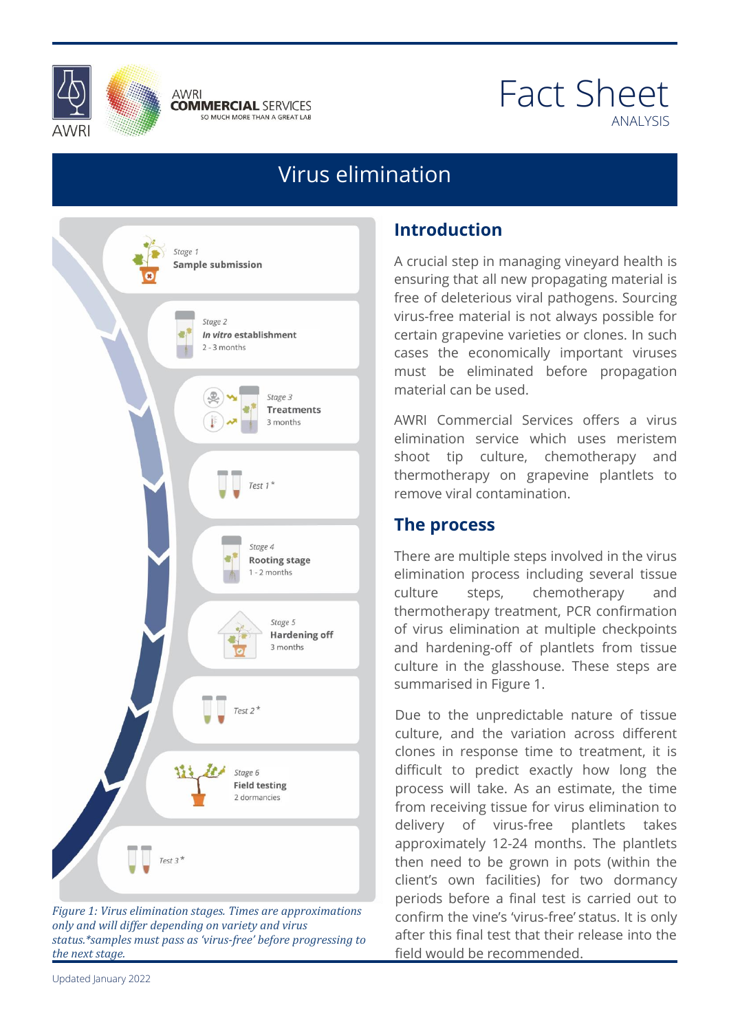



# Fact Sheet ANALYSIS

# Virus elimination



*Figure 1: Virus elimination stages. Times are approximations only and will differ depending on variety and virus status.\*samples must pass as 'virus-free' before progressing to the next stage.*

## **Introduction**

A crucial step in managing vineyard health is ensuring that all new propagating material is free of deleterious viral pathogens. Sourcing virus-free material is not always possible for certain grapevine varieties or clones. In such cases the economically important viruses must be eliminated before propagation material can be used.

material can be used.<br>AWRI Commercial Services offers a virus miniation service which uses mension<br>loot tip culture, chemotherapy and<br>ermotherapy on grapovine plantlets to remove viral contamination.<br>The presess elimination service which uses meristem shoot tip culture, chemotherapy and thermotherapy on grapevine plantlets to

#### **The process**

There are multiple steps involved in the virus<br>elimination, process, including, several, tissue culture steps, chemotherapy and<br>thermotherapy treatment, PCR confirmation and hardening-off of plantlets from tissue<br>culture in the glasshouse. These steps are There are multiple steps involved in the virus elimination process including several tissue culture steps, chemotherapy and of virus elimination at multiple checkpoints and hardening-off of plantlets from tissue summarised in Figure 1.

bammansed mingare to the sammansed and the unpredictable nature of tissue clones in response time to treatment, it is<br>difficult to predict exactly how long the As an estimate, the time<br>ue for virus elimination to<br>us free adoptions to the culture, and the variation across different difficult to predict exactly how long the process will take. As an estimate, the time from receiving tissue for virus elimination to delivery of virus-free plantlets takes approximately 12-24 months. The plantlets then need to be grown in pots (within the client's own facilities) for two dormancy periods before a final test is carried out to confirm the vine's 'virus-free' status. It is only after this final test that their release into the field would be recommended.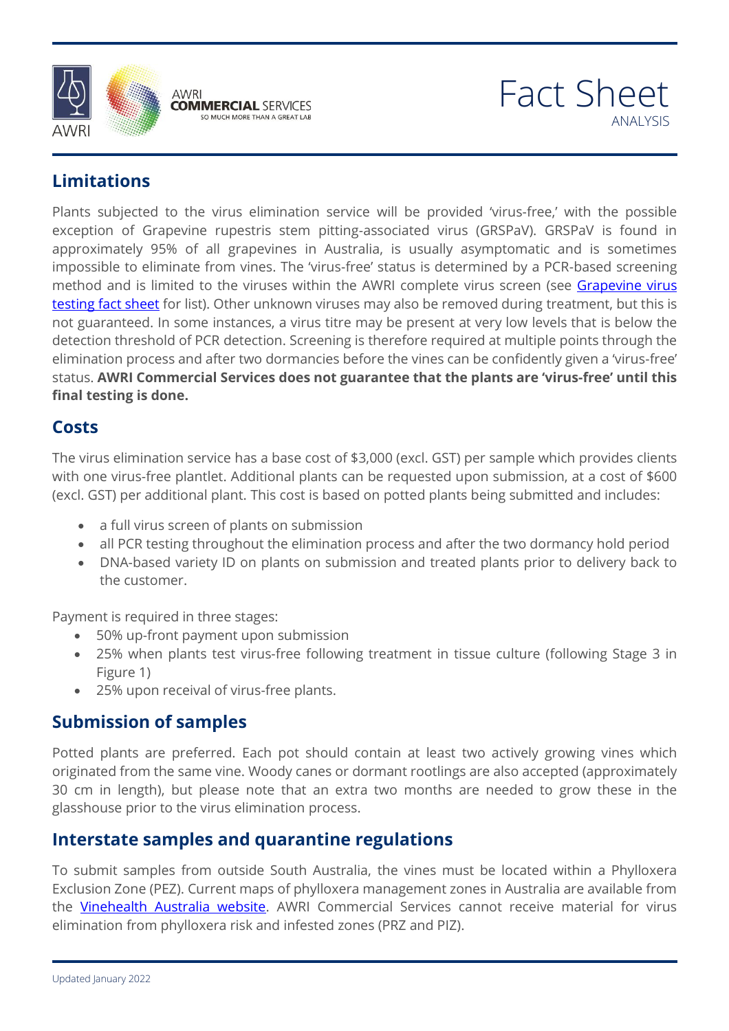





## **Limitations**

Plants subjected to the virus elimination service will be provided 'virus-free,' with the possible exception of Grapevine rupestris stem pitting-associated virus (GRSPaV). GRSPaV is found in approximately 95% of all grapevines in Australia, is usually asymptomatic and is sometimes impossible to eliminate from vines. The 'virus-free' status is determined by a PCR-based screening method and is limited to the viruses within the AWRI complete virus screen (see Grapevine virus [testing fact](https://www.awri.com.au/wp-content/uploads/2018/05/Virus-Testing.pdf) sheet for list). Other unknown viruses may also be removed during treatment, but this is not guaranteed. In some instances, a virus titre may be present at very low levels that is below the detection threshold of PCR detection. Screening is therefore required at multiple points through the elimination process and after two dormancies before the vines can be confidently given a 'virus-free' status. **AWRI Commercial Services does not guarantee that the plants are 'virus-free' until this final testing is done.**

## **Costs**

The virus elimination service has a base cost of \$3,000 (excl. GST) per sample which provides clients<br>with ano virus free plantlet. Additional plants can be requested wase submission, at a sest of \$500. (excl. GST) per additional plant. This cost is based on potted plants being submitted and includes:<br>Case of till virus screen of plants on submission with one virus-free plantlet. Additional plants can be requested upon submission, at a cost of \$600

- a full virus screen of plants on submission
- all PCR testing throughout the elimination process and after the two dormancy hold period
- all PCR testing throughout the elimination process and after the two dormancy hold period<br>- DNA-based variety ID on plants on submission and treated plants prior to delivery back to the customer.

Payment is required in three stages:

- 50% up-front payment upon submission
- 25% up none payment apon sabilission<br>• 25% when plants test virus-free following treatment in tissue culture (following Stage 3 in<br>Figure 1) Figure 1)
- 25% upon receival of virus-free plants.

## **Submission of samples**

Potted plants are preferred. Each pot should contain at least two actively growing vines which<br>originated from the same vine. Woody canes or dormant rootlings are also accepted (approximately 30 cm in length), but please note that an extra two months are needed to grow these in the<br>glasshouse prior to the virus elimination process. originated from the same vine. Woody canes or dormant rootlings are also accepted (approximately glasshouse prior to the virus elimination process.

## **Interstate samples and quarantine regulations**

To submit samples from outside South Australia, the vines must be located within a Phylloxera Exclusion Zone (PEZ). Current maps of phylloxera management zones in Australia are available from the [Vinehealth Australia website.](https://vinehealth.com.au/) AWRI Commercial Services cannot receive material for virus elimination from phylloxera risk and infested zones (PRZ and PIZ).